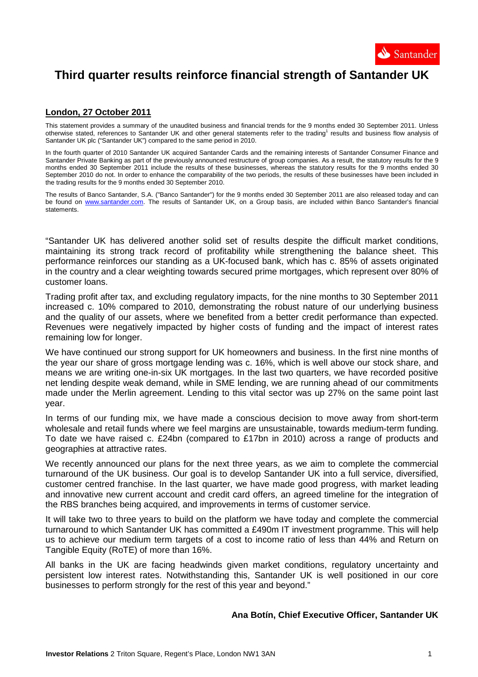

# **Third quarter results reinforce financial strength of Santander UK**

# **London, 27 October 2011**

This statement provides a summary of the unaudited business and financial trends for the 9 months ended 30 September 2011. Unless otherwise stated, references to Santander UK and other general statements refer to the trading<sup>1</sup> results and business flow analysis of Santander UK plc ("Santander UK") compared to the same period in 2010.

In the fourth quarter of 2010 Santander UK acquired Santander Cards and the remaining interests of Santander Consumer Finance and Santander Private Banking as part of the previously announced restructure of group companies. As a result, the statutory results for the 9 months ended 30 September 2011 include the results of these businesses, whereas the statutory results for the 9 months ended 30 September 2010 do not. In order to enhance the comparability of the two periods, the results of these businesses have been included in the trading results for the 9 months ended 30 September 2010.

The results of Banco Santander, S.A. ("Banco Santander") for the 9 months ended 30 September 2011 are also released today and can be found on www.santander.com. The results of Santander UK, on a Group basis, are included within Banco Santander's financial statements.

"Santander UK has delivered another solid set of results despite the difficult market conditions, maintaining its strong track record of profitability while strengthening the balance sheet. This performance reinforces our standing as a UK-focused bank, which has c. 85% of assets originated in the country and a clear weighting towards secured prime mortgages, which represent over 80% of customer loans.

Trading profit after tax, and excluding regulatory impacts, for the nine months to 30 September 2011 increased c. 10% compared to 2010, demonstrating the robust nature of our underlying business and the quality of our assets, where we benefited from a better credit performance than expected. Revenues were negatively impacted by higher costs of funding and the impact of interest rates remaining low for longer.

We have continued our strong support for UK homeowners and business. In the first nine months of the year our share of gross mortgage lending was c. 16%, which is well above our stock share, and means we are writing one-in-six UK mortgages. In the last two quarters, we have recorded positive net lending despite weak demand, while in SME lending, we are running ahead of our commitments made under the Merlin agreement. Lending to this vital sector was up 27% on the same point last year.

In terms of our funding mix, we have made a conscious decision to move away from short-term wholesale and retail funds where we feel margins are unsustainable, towards medium-term funding. To date we have raised c. £24bn (compared to £17bn in 2010) across a range of products and geographies at attractive rates.

We recently announced our plans for the next three years, as we aim to complete the commercial turnaround of the UK business. Our goal is to develop Santander UK into a full service, diversified, customer centred franchise. In the last quarter, we have made good progress, with market leading and innovative new current account and credit card offers, an agreed timeline for the integration of the RBS branches being acquired, and improvements in terms of customer service.

It will take two to three years to build on the platform we have today and complete the commercial turnaround to which Santander UK has committed a £490m IT investment programme. This will help us to achieve our medium term targets of a cost to income ratio of less than 44% and Return on Tangible Equity (RoTE) of more than 16%.

All banks in the UK are facing headwinds given market conditions, regulatory uncertainty and persistent low interest rates. Notwithstanding this, Santander UK is well positioned in our core businesses to perform strongly for the rest of this year and beyond."

## **Ana Botín, Chief Executive Officer, Santander UK**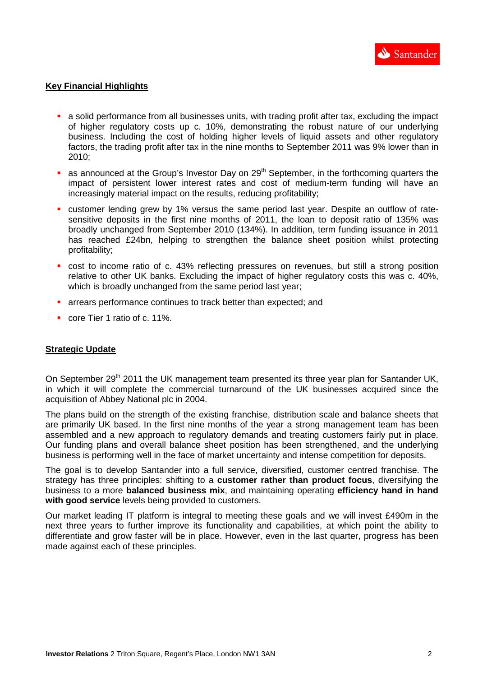## **Key Financial Highlights**

- a solid performance from all businesses units, with trading profit after tax, excluding the impact of higher regulatory costs up c. 10%, demonstrating the robust nature of our underlying business. Including the cost of holding higher levels of liquid assets and other regulatory factors, the trading profit after tax in the nine months to September 2011 was 9% lower than in 2010;
- as announced at the Group's Investor Day on  $29<sup>th</sup>$  September, in the forthcoming quarters the impact of persistent lower interest rates and cost of medium-term funding will have an increasingly material impact on the results, reducing profitability;
- customer lending grew by 1% versus the same period last year. Despite an outflow of ratesensitive deposits in the first nine months of 2011, the loan to deposit ratio of 135% was broadly unchanged from September 2010 (134%). In addition, term funding issuance in 2011 has reached £24bn, helping to strengthen the balance sheet position whilst protecting profitability;
- cost to income ratio of c. 43% reflecting pressures on revenues, but still a strong position relative to other UK banks. Excluding the impact of higher regulatory costs this was c. 40%, which is broadly unchanged from the same period last year;
- **EXP** arrears performance continues to track better than expected: and
- core Tier 1 ratio of c. 11%.

# **Strategic Update**

On September 29<sup>th</sup> 2011 the UK management team presented its three year plan for Santander UK, in which it will complete the commercial turnaround of the UK businesses acquired since the acquisition of Abbey National plc in 2004.

The plans build on the strength of the existing franchise, distribution scale and balance sheets that are primarily UK based. In the first nine months of the year a strong management team has been assembled and a new approach to regulatory demands and treating customers fairly put in place. Our funding plans and overall balance sheet position has been strengthened, and the underlying business is performing well in the face of market uncertainty and intense competition for deposits.

The goal is to develop Santander into a full service, diversified, customer centred franchise. The strategy has three principles: shifting to a **customer rather than product focus**, diversifying the business to a more **balanced business mix**, and maintaining operating **efficiency hand in hand with good service** levels being provided to customers.

Our market leading IT platform is integral to meeting these goals and we will invest £490m in the next three years to further improve its functionality and capabilities, at which point the ability to differentiate and grow faster will be in place. However, even in the last quarter, progress has been made against each of these principles.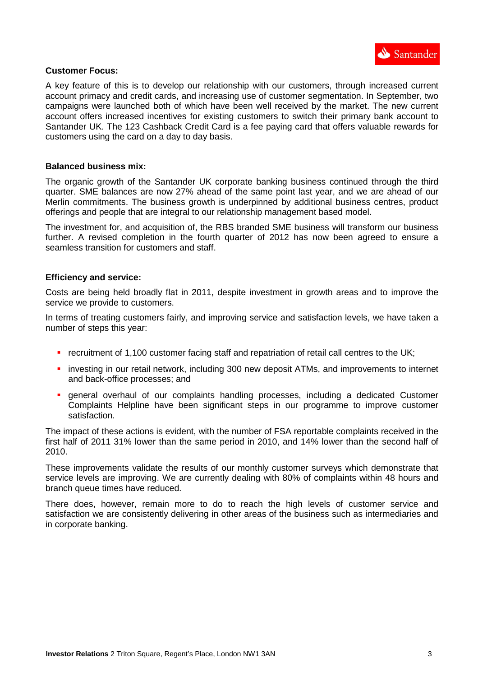

#### **Customer Focus:**

A key feature of this is to develop our relationship with our customers, through increased current account primacy and credit cards, and increasing use of customer segmentation. In September, two campaigns were launched both of which have been well received by the market. The new current account offers increased incentives for existing customers to switch their primary bank account to Santander UK. The 123 Cashback Credit Card is a fee paying card that offers valuable rewards for customers using the card on a day to day basis.

#### **Balanced business mix:**

The organic growth of the Santander UK corporate banking business continued through the third quarter. SME balances are now 27% ahead of the same point last year, and we are ahead of our Merlin commitments. The business growth is underpinned by additional business centres, product offerings and people that are integral to our relationship management based model.

The investment for, and acquisition of, the RBS branded SME business will transform our business further. A revised completion in the fourth quarter of 2012 has now been agreed to ensure a seamless transition for customers and staff.

#### **Efficiency and service:**

Costs are being held broadly flat in 2011, despite investment in growth areas and to improve the service we provide to customers.

In terms of treating customers fairly, and improving service and satisfaction levels, we have taken a number of steps this year:

- **•** recruitment of 1,100 customer facing staff and repatriation of retail call centres to the UK;
- **EXT** investing in our retail network, including 300 new deposit ATMs, and improvements to internet and back-office processes; and
- general overhaul of our complaints handling processes, including a dedicated Customer Complaints Helpline have been significant steps in our programme to improve customer satisfaction.

The impact of these actions is evident, with the number of FSA reportable complaints received in the first half of 2011 31% lower than the same period in 2010, and 14% lower than the second half of 2010.

These improvements validate the results of our monthly customer surveys which demonstrate that service levels are improving. We are currently dealing with 80% of complaints within 48 hours and branch queue times have reduced.

There does, however, remain more to do to reach the high levels of customer service and satisfaction we are consistently delivering in other areas of the business such as intermediaries and in corporate banking.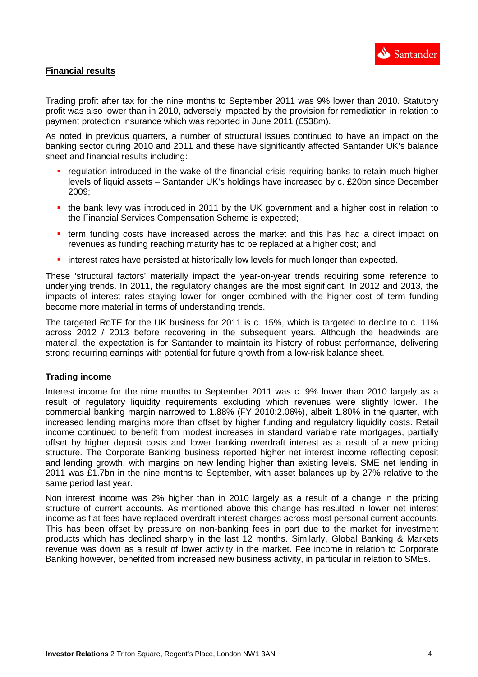

# **Financial results**

Trading profit after tax for the nine months to September 2011 was 9% lower than 2010. Statutory profit was also lower than in 2010, adversely impacted by the provision for remediation in relation to payment protection insurance which was reported in June 2011 (£538m).

As noted in previous quarters, a number of structural issues continued to have an impact on the banking sector during 2010 and 2011 and these have significantly affected Santander UK's balance sheet and financial results including:

- regulation introduced in the wake of the financial crisis requiring banks to retain much higher levels of liquid assets – Santander UK's holdings have increased by c. £20bn since December 2009;
- the bank levy was introduced in 2011 by the UK government and a higher cost in relation to the Financial Services Compensation Scheme is expected;
- **therm funding costs have increased across the market and this has had a direct impact on** revenues as funding reaching maturity has to be replaced at a higher cost; and
- interest rates have persisted at historically low levels for much longer than expected.

These 'structural factors' materially impact the year-on-year trends requiring some reference to underlying trends. In 2011, the regulatory changes are the most significant. In 2012 and 2013, the impacts of interest rates staying lower for longer combined with the higher cost of term funding become more material in terms of understanding trends.

The targeted RoTE for the UK business for 2011 is c. 15%, which is targeted to decline to c. 11% across 2012 / 2013 before recovering in the subsequent years. Although the headwinds are material, the expectation is for Santander to maintain its history of robust performance, delivering strong recurring earnings with potential for future growth from a low-risk balance sheet.

## **Trading income**

Interest income for the nine months to September 2011 was c. 9% lower than 2010 largely as a result of regulatory liquidity requirements excluding which revenues were slightly lower. The commercial banking margin narrowed to 1.88% (FY 2010:2.06%), albeit 1.80% in the quarter, with increased lending margins more than offset by higher funding and regulatory liquidity costs. Retail income continued to benefit from modest increases in standard variable rate mortgages, partially offset by higher deposit costs and lower banking overdraft interest as a result of a new pricing structure. The Corporate Banking business reported higher net interest income reflecting deposit and lending growth, with margins on new lending higher than existing levels. SME net lending in 2011 was £1.7bn in the nine months to September, with asset balances up by 27% relative to the same period last year.

Non interest income was 2% higher than in 2010 largely as a result of a change in the pricing structure of current accounts. As mentioned above this change has resulted in lower net interest income as flat fees have replaced overdraft interest charges across most personal current accounts. This has been offset by pressure on non-banking fees in part due to the market for investment products which has declined sharply in the last 12 months. Similarly, Global Banking & Markets revenue was down as a result of lower activity in the market. Fee income in relation to Corporate Banking however, benefited from increased new business activity, in particular in relation to SMEs.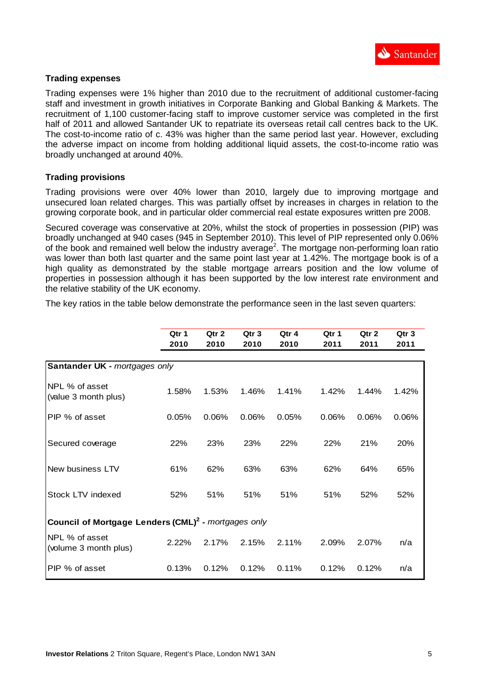

# **Trading expenses**

Trading expenses were 1% higher than 2010 due to the recruitment of additional customer-facing staff and investment in growth initiatives in Corporate Banking and Global Banking & Markets. The recruitment of 1,100 customer-facing staff to improve customer service was completed in the first half of 2011 and allowed Santander UK to repatriate its overseas retail call centres back to the UK. The cost-to-income ratio of c. 43% was higher than the same period last year. However, excluding the adverse impact on income from holding additional liquid assets, the cost-to-income ratio was broadly unchanged at around 40%.

# **Trading provisions**

Trading provisions were over 40% lower than 2010, largely due to improving mortgage and unsecured loan related charges. This was partially offset by increases in charges in relation to the growing corporate book, and in particular older commercial real estate exposures written pre 2008.

Secured coverage was conservative at 20%, whilst the stock of properties in possession (PIP) was broadly unchanged at 940 cases (945 in September 2010). This level of PIP represented only 0.06% of the book and remained well below the industry average<sup>2</sup>. The mortgage non-performing loan ratio was lower than both last quarter and the same point last year at 1.42%. The mortgage book is of a high quality as demonstrated by the stable mortgage arrears position and the low volume of properties in possession although it has been supported by the low interest rate environment and the relative stability of the UK economy.

The key ratios in the table below demonstrate the performance seen in the last seven quarters:

|                                                                 | Qtr 1 | Qtr 2 | Qtr <sub>3</sub> | Qtr 4 | Qtr 1 | Qtr 2 | Qtr <sub>3</sub> |
|-----------------------------------------------------------------|-------|-------|------------------|-------|-------|-------|------------------|
|                                                                 | 2010  | 2010  | 2010             | 2010  | 2011  | 2011  | 2011             |
| Santander UK - mortgages only                                   |       |       |                  |       |       |       |                  |
| NPL % of asset<br>(value 3 month plus)                          | 1.58% | 1.53% | 1.46%            | 1.41% | 1.42% | 1.44% | 1.42%            |
| PIP % of asset                                                  | 0.05% | 0.06% | 0.06%            | 0.05% | 0.06% | 0.06% | 0.06%            |
| Secured coverage                                                | 22%   | 23%   | 23%              | 22%   | 22%   | 21%   | 20%              |
| New business LTV                                                | 61%   | 62%   | 63%              | 63%   | 62%   | 64%   | 65%              |
| Stock LTV indexed                                               | 52%   | 51%   | 51%              | 51%   | 51%   | 52%   | 52%              |
| Council of Mortgage Lenders (CML) <sup>2</sup> - mortgages only |       |       |                  |       |       |       |                  |
| NPL % of asset<br>(volume 3 month plus)                         | 2.22% | 2.17% | 2.15%            | 2.11% | 2.09% | 2.07% | n/a              |
| PIP % of asset                                                  | 0.13% | 0.12% | 0.12%            | 0.11% | 0.12% | 0.12% | n/a              |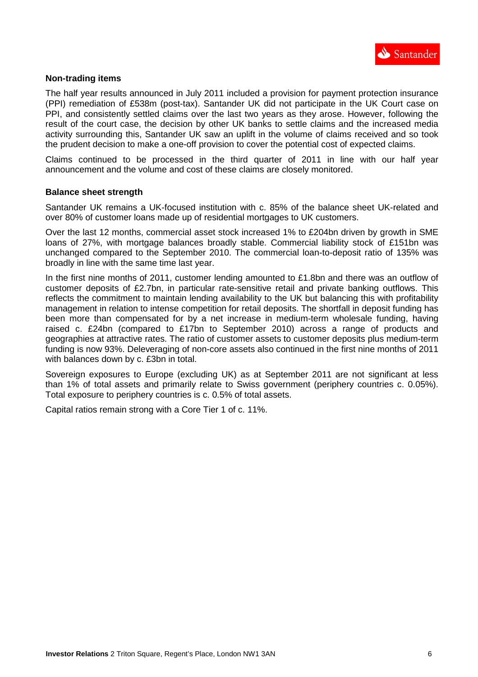

## **Non-trading items**

The half year results announced in July 2011 included a provision for payment protection insurance (PPI) remediation of £538m (post-tax). Santander UK did not participate in the UK Court case on PPI, and consistently settled claims over the last two years as they arose. However, following the result of the court case, the decision by other UK banks to settle claims and the increased media activity surrounding this, Santander UK saw an uplift in the volume of claims received and so took the prudent decision to make a one-off provision to cover the potential cost of expected claims.

Claims continued to be processed in the third quarter of 2011 in line with our half year announcement and the volume and cost of these claims are closely monitored.

#### **Balance sheet strength**

Santander UK remains a UK-focused institution with c. 85% of the balance sheet UK-related and over 80% of customer loans made up of residential mortgages to UK customers.

Over the last 12 months, commercial asset stock increased 1% to £204bn driven by growth in SME loans of 27%, with mortgage balances broadly stable. Commercial liability stock of £151bn was unchanged compared to the September 2010. The commercial loan-to-deposit ratio of 135% was broadly in line with the same time last year.

In the first nine months of 2011, customer lending amounted to £1.8bn and there was an outflow of customer deposits of £2.7bn, in particular rate-sensitive retail and private banking outflows. This reflects the commitment to maintain lending availability to the UK but balancing this with profitability management in relation to intense competition for retail deposits. The shortfall in deposit funding has been more than compensated for by a net increase in medium-term wholesale funding, having raised c. £24bn (compared to £17bn to September 2010) across a range of products and geographies at attractive rates. The ratio of customer assets to customer deposits plus medium-term funding is now 93%. Deleveraging of non-core assets also continued in the first nine months of 2011 with balances down by c. £3bn in total.

Sovereign exposures to Europe (excluding UK) as at September 2011 are not significant at less than 1% of total assets and primarily relate to Swiss government (periphery countries c. 0.05%). Total exposure to periphery countries is c. 0.5% of total assets.

Capital ratios remain strong with a Core Tier 1 of c. 11%.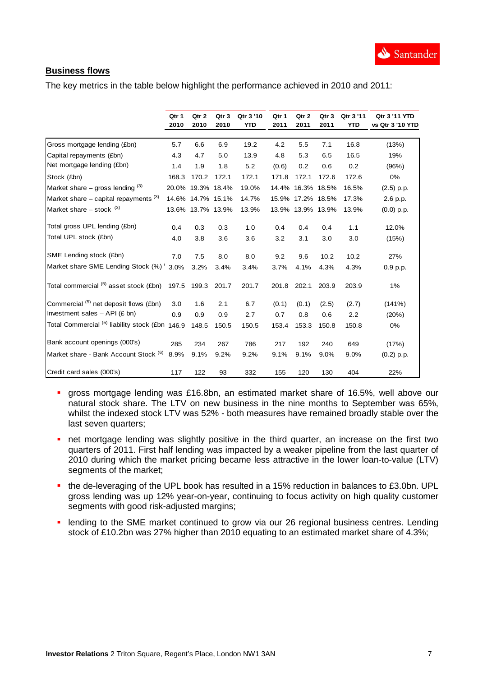

# **Business flows**

The key metrics in the table below highlight the performance achieved in 2010 and 2011:

|                                                            | Qtr 1 | Qtr 2             | Qtr 3 | Qtr 3 '10 | Qtr 1 | Qtr 2             | Qtr 3 | Qtr 3 '11  | Qtr 3 '11 YTD    |
|------------------------------------------------------------|-------|-------------------|-------|-----------|-------|-------------------|-------|------------|------------------|
|                                                            | 2010  | 2010              | 2010  | YTD       | 2011  | 2011              | 2011  | <b>YTD</b> | vs Qtr 3 '10 YTD |
| Gross mortgage lending (£bn)                               | 5.7   | 6.6               | 6.9   | 19.2      | 4.2   | 5.5               | 7.1   | 16.8       | (13%)            |
| Capital repayments (£bn)                                   | 4.3   | 4.7               | 5.0   | 13.9      | 4.8   | 5.3               | 6.5   | 16.5       | 19%              |
| Net mortgage lending (£bn)                                 | 1.4   | 1.9               | 1.8   | 5.2       | (0.6) | 0.2               | 0.6   | 0.2        | (96%)            |
| Stock (£bn)                                                | 168.3 | 170.2             | 172.1 | 172.1     | 171.8 | 172.1             | 172.6 | 172.6      | 0%               |
| Market share – gross lending $(3)$                         |       | 20.0% 19.3% 18.4% |       | 19.0%     |       | 14.4% 16.3% 18.5% |       | 16.5%      | $(2.5)$ p.p.     |
| Market share $-$ capital repayments $(3)$                  |       | 14.6% 14.7% 15.1% |       | 14.7%     |       | 15.9% 17.2% 18.5% |       | 17.3%      | 2.6 p.p.         |
| Market share $-$ stock $(3)$                               |       | 13.6% 13.7% 13.9% |       | 13.9%     |       | 13.9% 13.9% 13.9% |       | 13.9%      | $(0.0)$ p.p.     |
| Total gross UPL lending (£bn)                              | 0.4   | 0.3               | 0.3   | 1.0       | 0.4   | 0.4               | 0.4   | 1.1        | 12.0%            |
| Total UPL stock (£bn)                                      | 4.0   | 3.8               | 3.6   | 3.6       | 3.2   | 3.1               | 3.0   | 3.0        | (15%)            |
| SME Lending stock (£bn)                                    | 7.0   | 7.5               | 8.0   | 8.0       | 9.2   | 9.6               | 10.2  | 10.2       | 27%              |
| Market share SME Lending Stock (%) '                       | 3.0%  | 3.2%              | 3.4%  | 3.4%      | 3.7%  | 4.1%              | 4.3%  | 4.3%       | 0.9 p.p.         |
| Total commercial (5) asset stock (£bn)                     | 197.5 | 199.3             | 201.7 | 201.7     | 201.8 | 202.1             | 203.9 | 203.9      | 1%               |
| Commercial (5) net deposit flows (£bn)                     | 3.0   | 1.6               | 2.1   | 6.7       | (0.1) | (0.1)             | (2.5) | (2.7)      | (141%)           |
| Investment sales $-$ API (£ bn)                            | 0.9   | 0.9               | 0.9   | 2.7       | 0.7   | 0.8               | 0.6   | 2.2        | (20%)            |
| Total Commercial <sup>(5)</sup> liability stock (£bn 146.9 |       | 148.5             | 150.5 | 150.5     | 153.4 | 153.3             | 150.8 | 150.8      | 0%               |
| Bank account openings (000's)                              | 285   | 234               | 267   | 786       | 217   | 192               | 240   | 649        | (17%)            |
| Market share - Bank Account Stock (6)                      | 8.9%  | 9.1%              | 9.2%  | 9.2%      | 9.1%  | 9.1%              | 9.0%  | 9.0%       | $(0.2)$ p.p.     |
| Credit card sales (000's)                                  | 117   | 122               | 93    | 332       | 155   | 120               | 130   | 404        | 22%              |

- gross mortgage lending was £16.8bn, an estimated market share of 16.5%, well above our natural stock share. The LTV on new business in the nine months to September was 65%, whilst the indexed stock LTV was 52% - both measures have remained broadly stable over the last seven quarters;
- nther mortgage lending was slightly positive in the third quarter, an increase on the first two quarters of 2011. First half lending was impacted by a weaker pipeline from the last quarter of 2010 during which the market pricing became less attractive in the lower loan-to-value (LTV) segments of the market;
- the de-leveraging of the UPL book has resulted in a 15% reduction in balances to £3.0bn. UPL gross lending was up 12% year-on-year, continuing to focus activity on high quality customer segments with good risk-adjusted margins;
- lending to the SME market continued to grow via our 26 regional business centres. Lending stock of £10.2bn was 27% higher than 2010 equating to an estimated market share of 4.3%;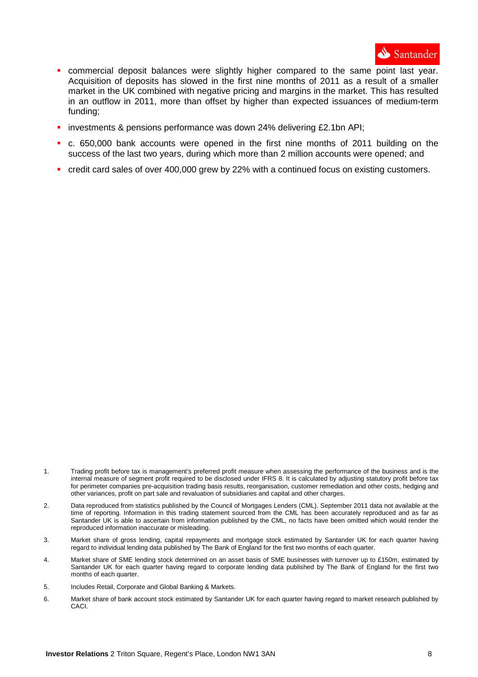

- commercial deposit balances were slightly higher compared to the same point last year. Acquisition of deposits has slowed in the first nine months of 2011 as a result of a smaller market in the UK combined with negative pricing and margins in the market. This has resulted in an outflow in 2011, more than offset by higher than expected issuances of medium-term funding;
- investments & pensions performance was down 24% delivering £2.1bn API;
- c. 650,000 bank accounts were opened in the first nine months of 2011 building on the success of the last two years, during which more than 2 million accounts were opened; and
- credit card sales of over 400,000 grew by 22% with a continued focus on existing customers.

- 3. Market share of gross lending, capital repayments and mortgage stock estimated by Santander UK for each quarter having regard to individual lending data published by The Bank of England for the first two months of each quarter.
- 4. Market share of SME lending stock determined on an asset basis of SME businesses with turnover up to £150m, estimated by Santander UK for each quarter having regard to corporate lending data published by The Bank of England for the first two months of each quarter.
- 5. Includes Retail, Corporate and Global Banking & Markets.
- 6. Market share of bank account stock estimated by Santander UK for each quarter having regard to market research published by CACI.

<sup>1.</sup> Trading profit before tax is management's preferred profit measure when assessing the performance of the business and is the internal measure of segment profit required to be disclosed under IFRS 8. It is calculated by adjusting statutory profit before tax for perimeter companies pre-acquisition trading basis results, reorganisation, customer remediation and other costs, hedging and other variances, profit on part sale and revaluation of subsidiaries and capital and other charges.

<sup>2.</sup> Data reproduced from statistics published by the Council of Mortgages Lenders (CML). September 2011 data not available at the time of reporting. Information in this trading statement sourced from the CML has been accurately reproduced and as far as Santander UK is able to ascertain from information published by the CML, no facts have been omitted which would render the reproduced information inaccurate or misleading.